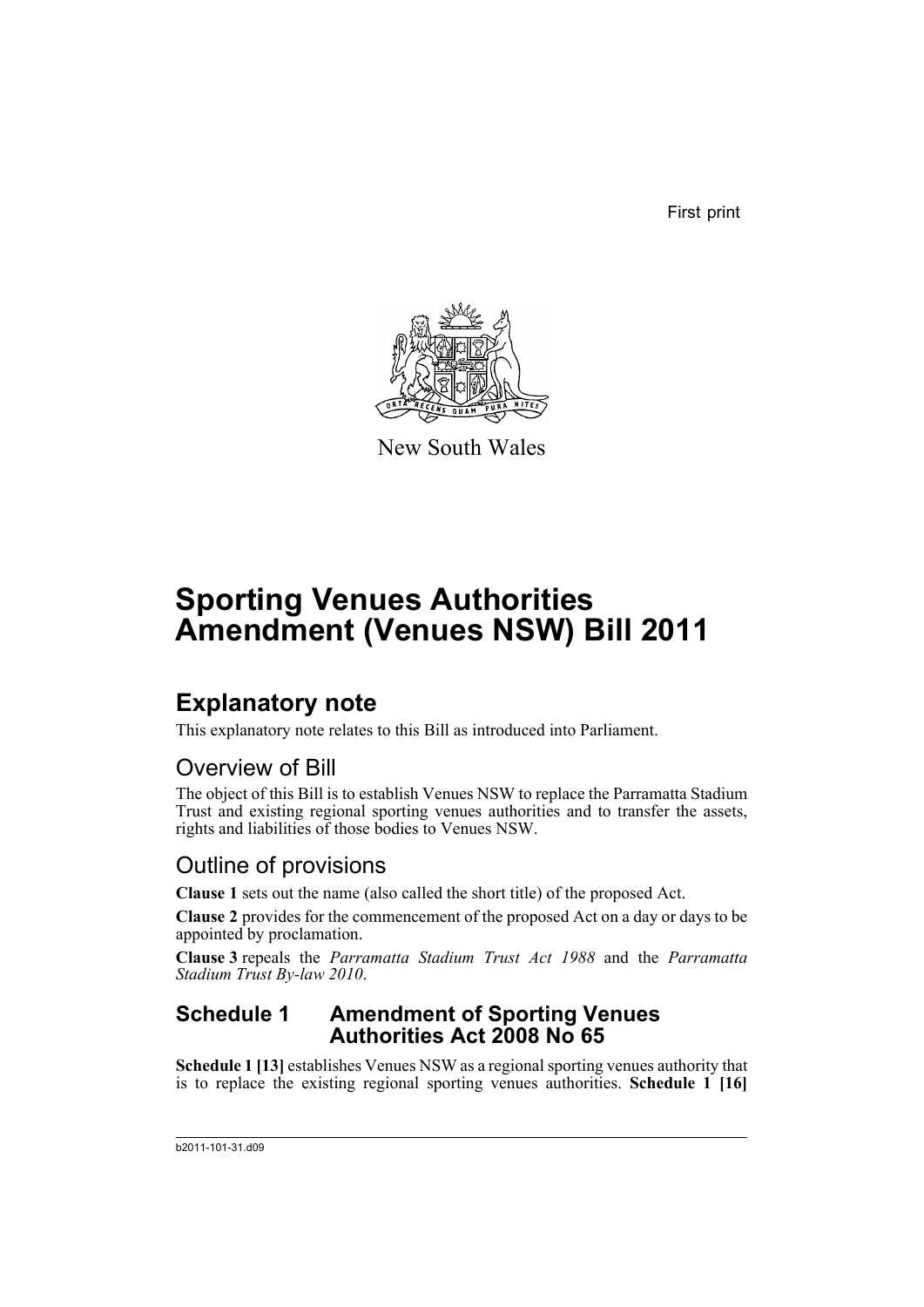First print



New South Wales

# **Sporting Venues Authorities Amendment (Venues NSW) Bill 2011**

## **Explanatory note**

This explanatory note relates to this Bill as introduced into Parliament.

### Overview of Bill

The object of this Bill is to establish Venues NSW to replace the Parramatta Stadium Trust and existing regional sporting venues authorities and to transfer the assets, rights and liabilities of those bodies to Venues NSW.

### Outline of provisions

**Clause 1** sets out the name (also called the short title) of the proposed Act.

**Clause 2** provides for the commencement of the proposed Act on a day or days to be appointed by proclamation.

**Clause 3** repeals the *Parramatta Stadium Trust Act 1988* and the *Parramatta Stadium Trust By-law 2010*.

#### **Schedule 1 Amendment of Sporting Venues Authorities Act 2008 No 65**

**Schedule 1 [13]** establishes Venues NSW as a regional sporting venues authority that is to replace the existing regional sporting venues authorities. **Schedule 1 [16]**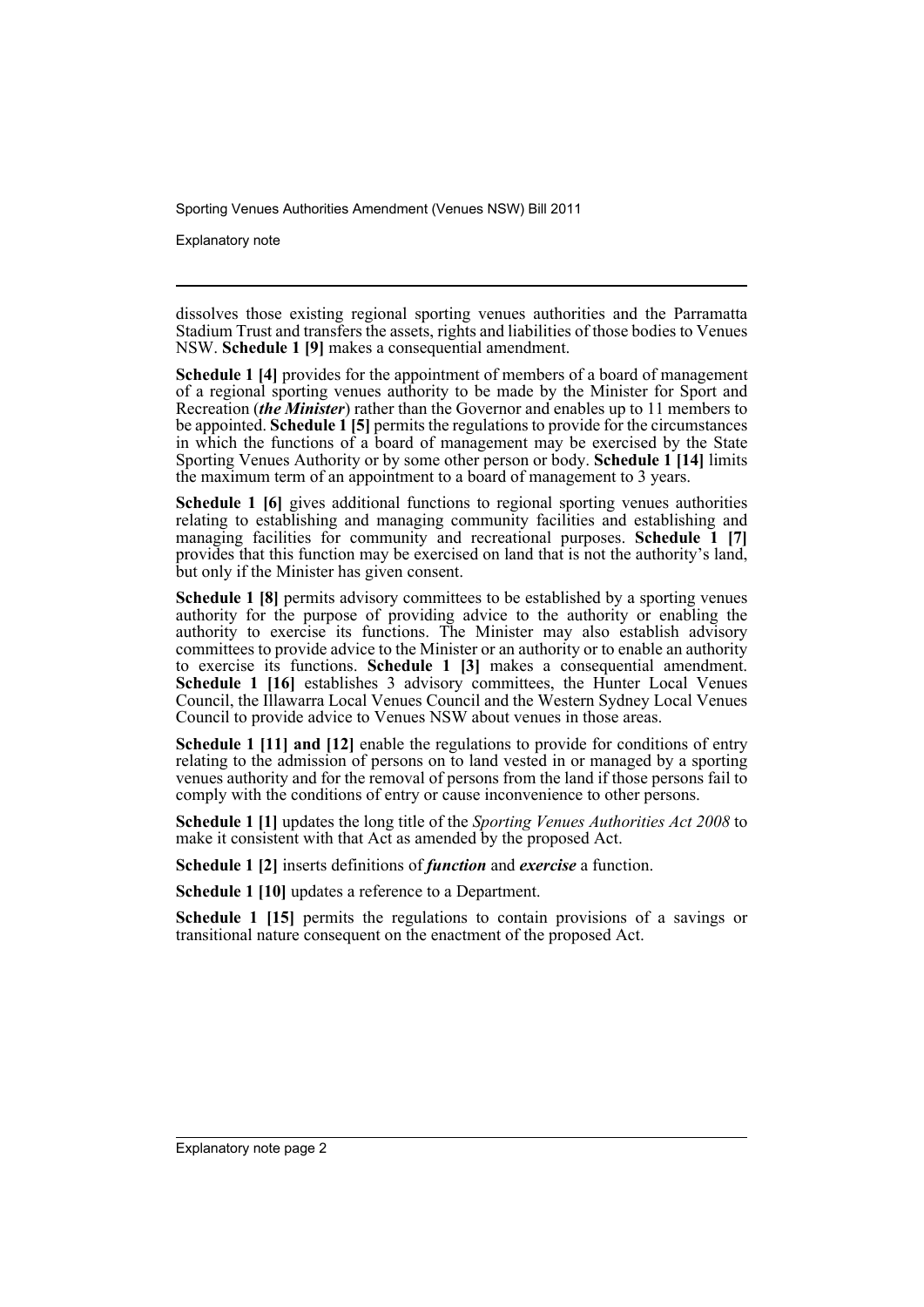Explanatory note

dissolves those existing regional sporting venues authorities and the Parramatta Stadium Trust and transfers the assets, rights and liabilities of those bodies to Venues NSW. **Schedule 1 [9]** makes a consequential amendment.

**Schedule 1 [4]** provides for the appointment of members of a board of management of a regional sporting venues authority to be made by the Minister for Sport and Recreation (*the Minister*) rather than the Governor and enables up to 11 members to be appointed. **Schedule 1 [5]** permits the regulations to provide for the circumstances in which the functions of a board of management may be exercised by the State Sporting Venues Authority or by some other person or body. **Schedule 1 [14]** limits the maximum term of an appointment to a board of management to 3 years.

**Schedule 1 [6]** gives additional functions to regional sporting venues authorities relating to establishing and managing community facilities and establishing and managing facilities for community and recreational purposes. **Schedule 1** [7] provides that this function may be exercised on land that is not the authority's land, but only if the Minister has given consent.

**Schedule 1 [8]** permits advisory committees to be established by a sporting venues authority for the purpose of providing advice to the authority or enabling the authority to exercise its functions. The Minister may also establish advisory committees to provide advice to the Minister or an authority or to enable an authority to exercise its functions. **Schedule 1 [3]** makes a consequential amendment. **Schedule 1 [16]** establishes 3 advisory committees, the Hunter Local Venues Council, the Illawarra Local Venues Council and the Western Sydney Local Venues Council to provide advice to Venues NSW about venues in those areas.

**Schedule 1 [11] and [12]** enable the regulations to provide for conditions of entry relating to the admission of persons on to land vested in or managed by a sporting venues authority and for the removal of persons from the land if those persons fail to comply with the conditions of entry or cause inconvenience to other persons.

**Schedule 1 [1]** updates the long title of the *Sporting Venues Authorities Act 2008* to make it consistent with that Act as amended by the proposed Act.

**Schedule 1 [2]** inserts definitions of *function* and *exercise* a function.

**Schedule 1 [10]** updates a reference to a Department.

**Schedule 1 [15]** permits the regulations to contain provisions of a savings or transitional nature consequent on the enactment of the proposed Act.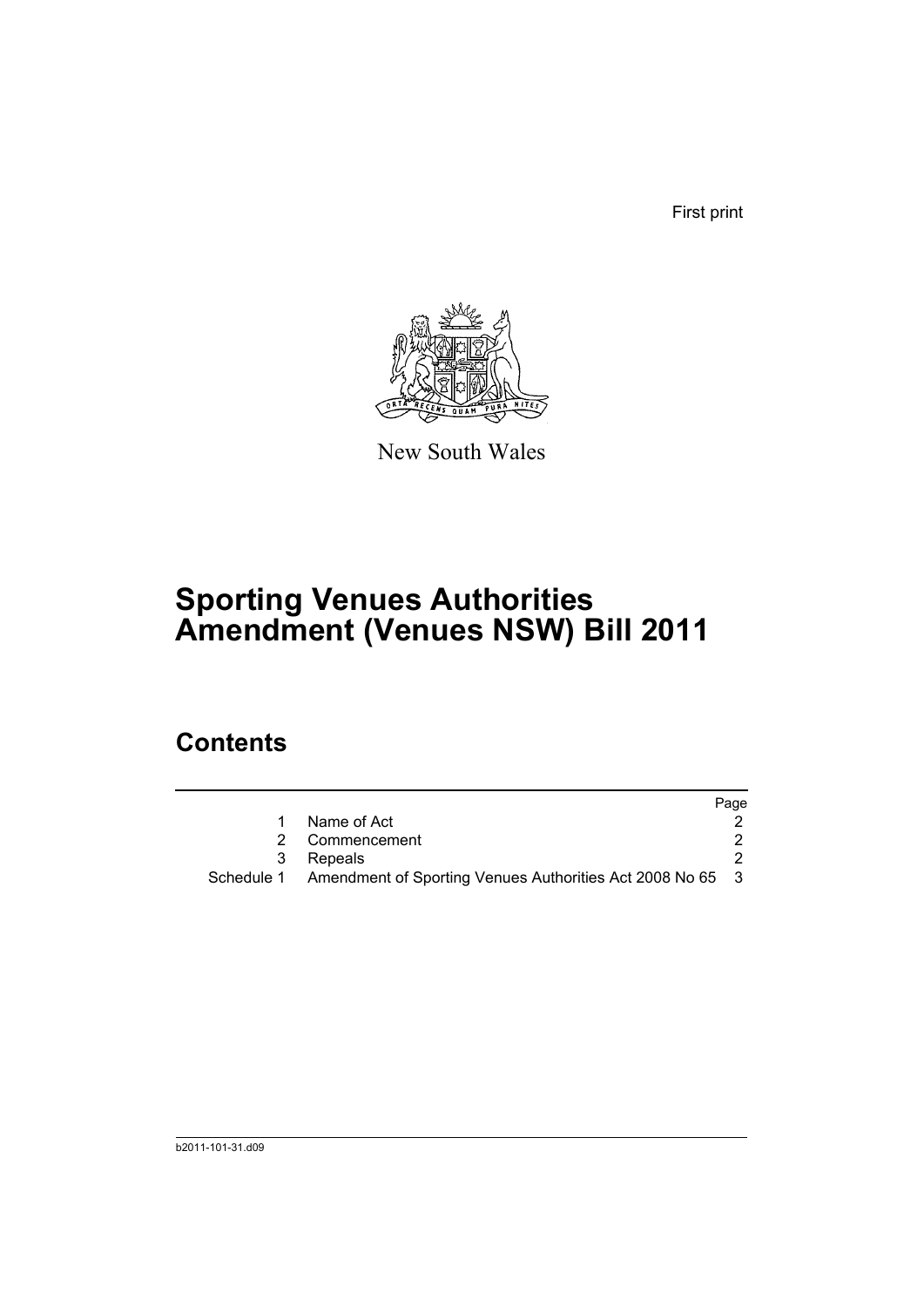First print



New South Wales

# **Sporting Venues Authorities Amendment (Venues NSW) Bill 2011**

## **Contents**

|   |                                                                      | Page |
|---|----------------------------------------------------------------------|------|
|   | Name of Act                                                          |      |
|   | 2 Commencement                                                       |      |
| 3 | Repeals                                                              |      |
|   | Schedule 1 Amendment of Sporting Venues Authorities Act 2008 No 65 3 |      |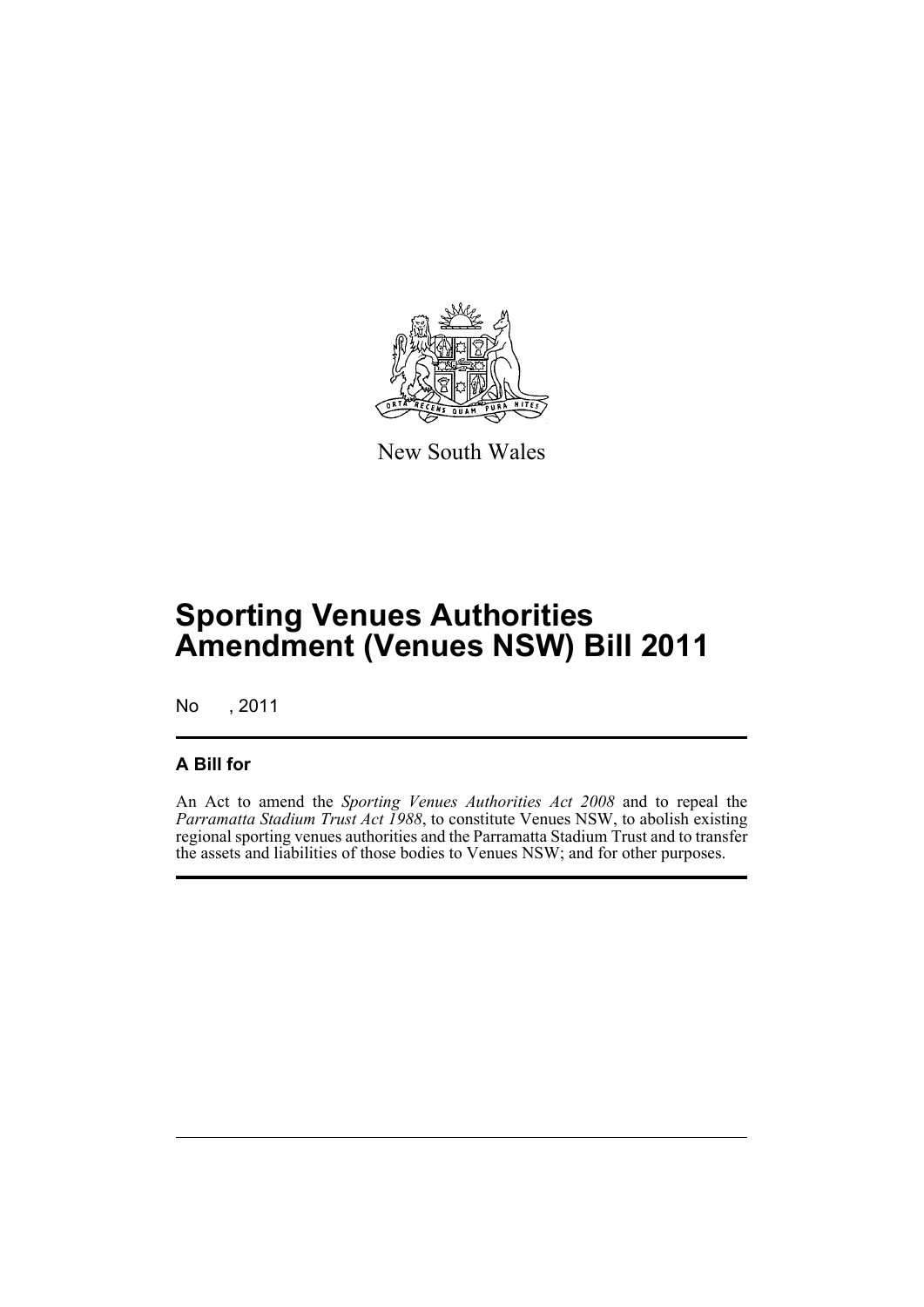

New South Wales

## **Sporting Venues Authorities Amendment (Venues NSW) Bill 2011**

No , 2011

#### **A Bill for**

An Act to amend the *Sporting Venues Authorities Act 2008* and to repeal the *Parramatta Stadium Trust Act 1988*, to constitute Venues NSW, to abolish existing regional sporting venues authorities and the Parramatta Stadium Trust and to transfer the assets and liabilities of those bodies to Venues NSW; and for other purposes.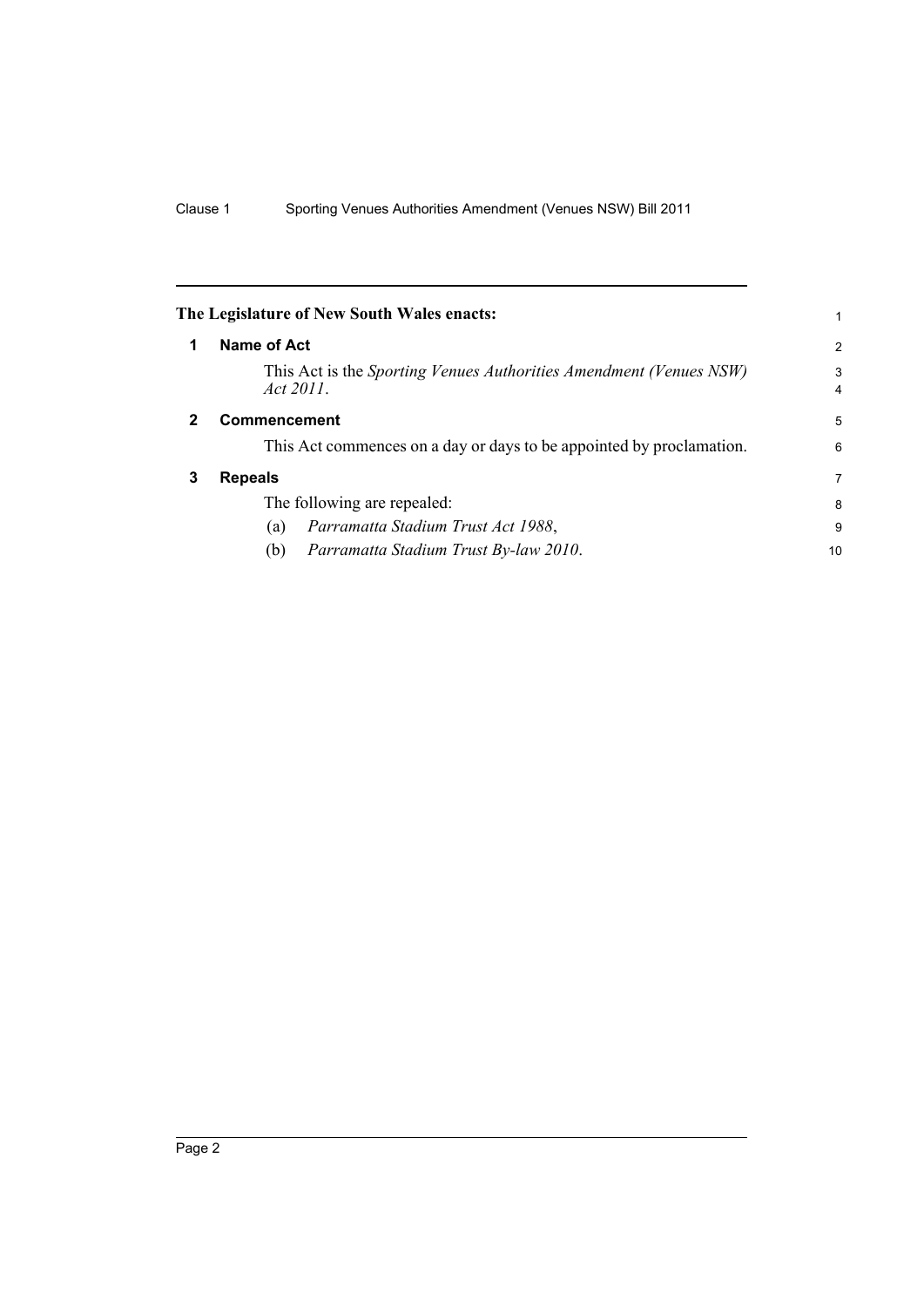<span id="page-5-2"></span><span id="page-5-1"></span><span id="page-5-0"></span>

|   | The Legislature of New South Wales enacts:                                      |        |  |
|---|---------------------------------------------------------------------------------|--------|--|
| 1 | Name of Act                                                                     | 2      |  |
|   | This Act is the Sporting Venues Authorities Amendment (Venues NSW)<br>Act 2011. | 3<br>4 |  |
|   | Commencement                                                                    |        |  |
|   | This Act commences on a day or days to be appointed by proclamation.            | 6      |  |
| 3 | <b>Repeals</b>                                                                  | 7      |  |
|   | The following are repealed:                                                     | 8      |  |
|   | Parramatta Stadium Trust Act 1988,<br>(a)                                       | 9      |  |
|   | Parramatta Stadium Trust By-law 2010.<br>(b)                                    | 10     |  |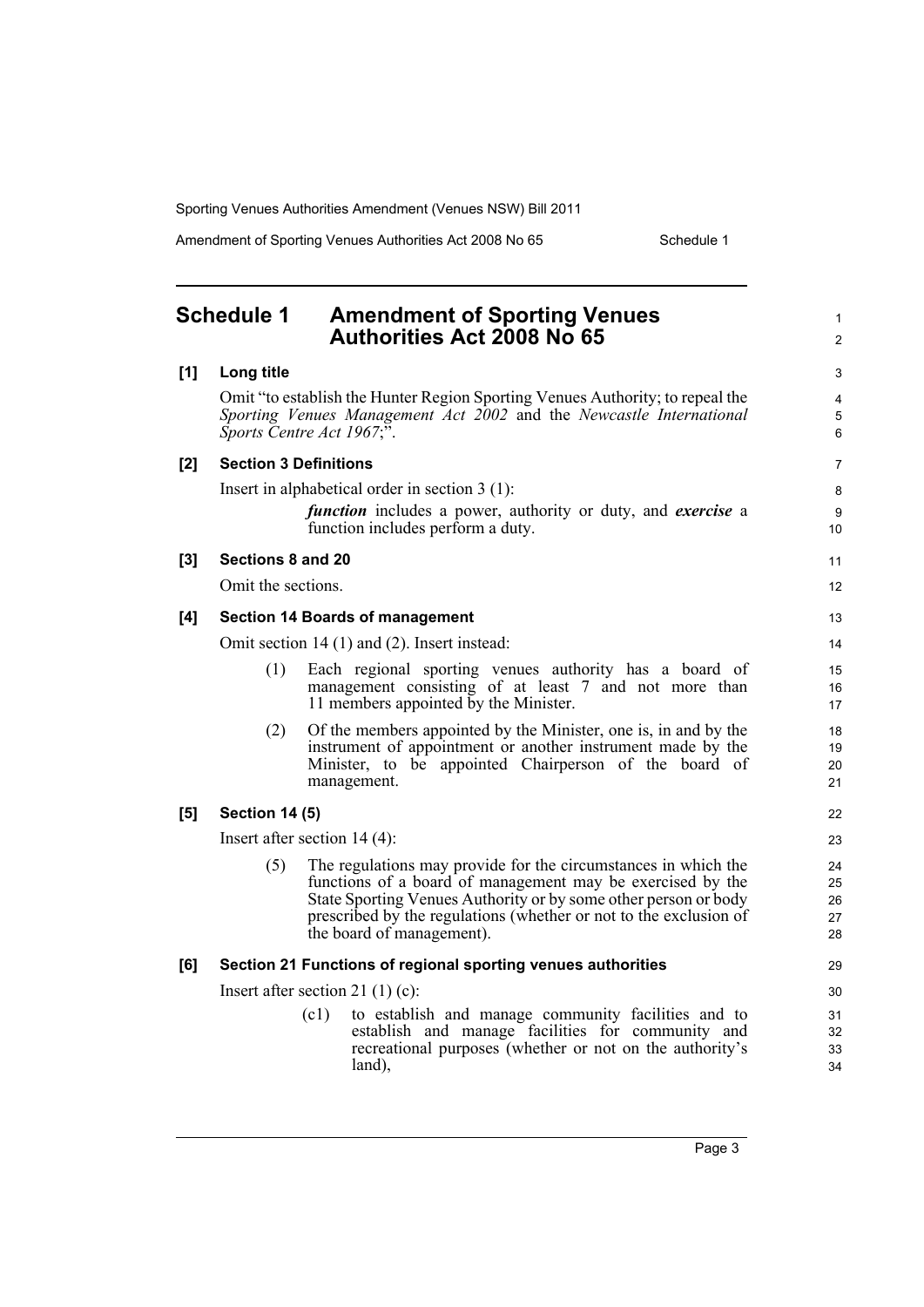Amendment of Sporting Venues Authorities Act 2008 No 65 Schedule 1

1 2

### <span id="page-6-0"></span>**Schedule 1 Amendment of Sporting Venues Authorities Act 2008 No 65**

| $[1]$ | Long title            |                                                                                                                                                                                                                                                                                                   | 3                          |  |  |
|-------|-----------------------|---------------------------------------------------------------------------------------------------------------------------------------------------------------------------------------------------------------------------------------------------------------------------------------------------|----------------------------|--|--|
|       |                       | Omit "to establish the Hunter Region Sporting Venues Authority; to repeal the<br>Sporting Venues Management Act 2002 and the Newcastle International<br>Sports Centre Act 1967;".                                                                                                                 | 4<br>$\mathbf 5$<br>6      |  |  |
| [2]   |                       | <b>Section 3 Definitions</b>                                                                                                                                                                                                                                                                      | 7                          |  |  |
|       |                       | Insert in alphabetical order in section $3(1)$ :                                                                                                                                                                                                                                                  | 8                          |  |  |
|       |                       | function includes a power, authority or duty, and exercise a<br>function includes perform a duty.                                                                                                                                                                                                 | 9<br>10                    |  |  |
| [3]   | Sections 8 and 20     |                                                                                                                                                                                                                                                                                                   | 11                         |  |  |
|       | Omit the sections.    |                                                                                                                                                                                                                                                                                                   | 12                         |  |  |
| [4]   |                       | <b>Section 14 Boards of management</b>                                                                                                                                                                                                                                                            | 13                         |  |  |
|       |                       | Omit section 14 (1) and (2). Insert instead:                                                                                                                                                                                                                                                      |                            |  |  |
|       | (1)                   | Each regional sporting venues authority has a board of<br>management consisting of at least 7 and not more than                                                                                                                                                                                   | 15<br>16                   |  |  |
|       |                       | 11 members appointed by the Minister.                                                                                                                                                                                                                                                             | 17                         |  |  |
|       | (2)                   | Of the members appointed by the Minister, one is, in and by the<br>instrument of appointment or another instrument made by the<br>Minister, to be appointed Chairperson of the board of<br>management.                                                                                            | 18<br>19<br>20<br>21       |  |  |
| [5]   | <b>Section 14 (5)</b> |                                                                                                                                                                                                                                                                                                   | 22                         |  |  |
|       |                       | Insert after section $14(4)$ :                                                                                                                                                                                                                                                                    | 23                         |  |  |
|       | (5)                   | The regulations may provide for the circumstances in which the<br>functions of a board of management may be exercised by the<br>State Sporting Venues Authority or by some other person or body<br>prescribed by the regulations (whether or not to the exclusion of<br>the board of management). | 24<br>25<br>26<br>27<br>28 |  |  |
| [6]   |                       | Section 21 Functions of regional sporting venues authorities                                                                                                                                                                                                                                      | 29                         |  |  |
|       |                       | Insert after section 21 $(1)(c)$ :                                                                                                                                                                                                                                                                | 30                         |  |  |
|       |                       | to establish and manage community facilities and to<br>(c1)<br>establish and manage facilities for community and<br>recreational purposes (whether or not on the authority's<br>land),                                                                                                            | 31<br>32<br>33<br>34       |  |  |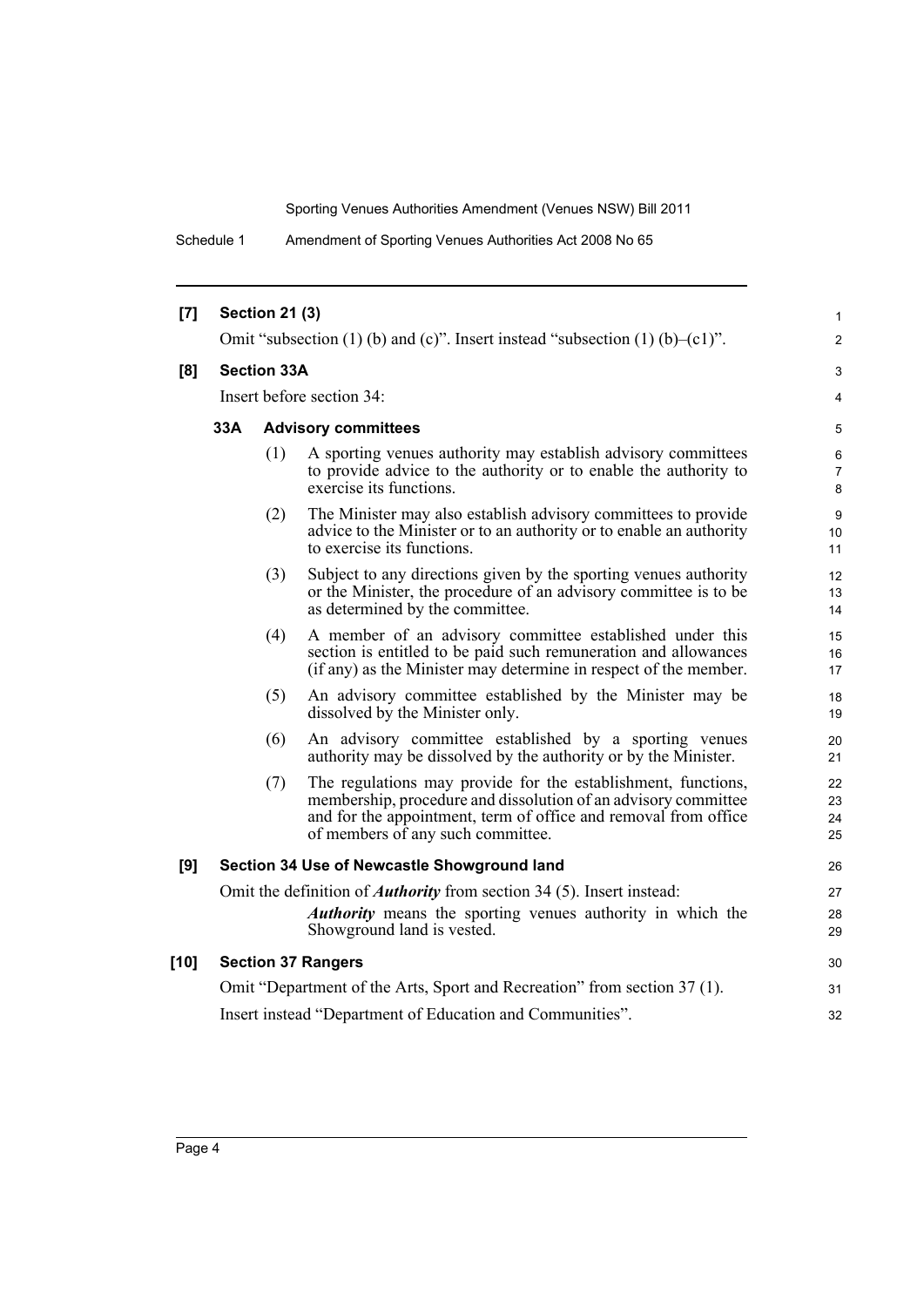Schedule 1 Amendment of Sporting Venues Authorities Act 2008 No 65

| [7]    |                           | <b>Section 21 (3)</b> |                                                                                                                                                                                                                                         | 1                    |
|--------|---------------------------|-----------------------|-----------------------------------------------------------------------------------------------------------------------------------------------------------------------------------------------------------------------------------------|----------------------|
|        |                           |                       | Omit "subsection (1) (b) and (c)". Insert instead "subsection (1) $(b)$ –(c1)".                                                                                                                                                         | 2                    |
| [8]    |                           | <b>Section 33A</b>    |                                                                                                                                                                                                                                         | 3                    |
|        | Insert before section 34: |                       |                                                                                                                                                                                                                                         |                      |
|        | 33A                       |                       | <b>Advisory committees</b>                                                                                                                                                                                                              | 5                    |
|        |                           | (1)                   | A sporting venues authority may establish advisory committees<br>to provide advice to the authority or to enable the authority to<br>exercise its functions.                                                                            | 6<br>7<br>8          |
|        |                           | (2)                   | The Minister may also establish advisory committees to provide<br>advice to the Minister or to an authority or to enable an authority<br>to exercise its functions.                                                                     | 9<br>10<br>11        |
|        |                           | (3)                   | Subject to any directions given by the sporting venues authority<br>or the Minister, the procedure of an advisory committee is to be<br>as determined by the committee.                                                                 | 12<br>13<br>14       |
|        |                           | (4)                   | A member of an advisory committee established under this<br>section is entitled to be paid such remuneration and allowances<br>(if any) as the Minister may determine in respect of the member.                                         | 15<br>16<br>17       |
|        |                           | (5)                   | An advisory committee established by the Minister may be<br>dissolved by the Minister only.                                                                                                                                             | 18<br>19             |
|        |                           | (6)                   | An advisory committee established by a sporting venues<br>authority may be dissolved by the authority or by the Minister.                                                                                                               | 20<br>21             |
|        |                           | (7)                   | The regulations may provide for the establishment, functions,<br>membership, procedure and dissolution of an advisory committee<br>and for the appointment, term of office and removal from office<br>of members of any such committee. | 22<br>23<br>24<br>25 |
| [9]    |                           |                       | Section 34 Use of Newcastle Showground land                                                                                                                                                                                             | 26                   |
|        |                           |                       | Omit the definition of <i>Authority</i> from section 34 (5). Insert instead:                                                                                                                                                            | 27                   |
|        |                           |                       | <i>Authority</i> means the sporting venues authority in which the<br>Showground land is vested.                                                                                                                                         | 28<br>29             |
| $[10]$ |                           |                       | <b>Section 37 Rangers</b>                                                                                                                                                                                                               | 30                   |
|        |                           |                       | Omit "Department of the Arts, Sport and Recreation" from section 37 (1).                                                                                                                                                                | 31                   |
|        |                           |                       | Insert instead "Department of Education and Communities".                                                                                                                                                                               | 32                   |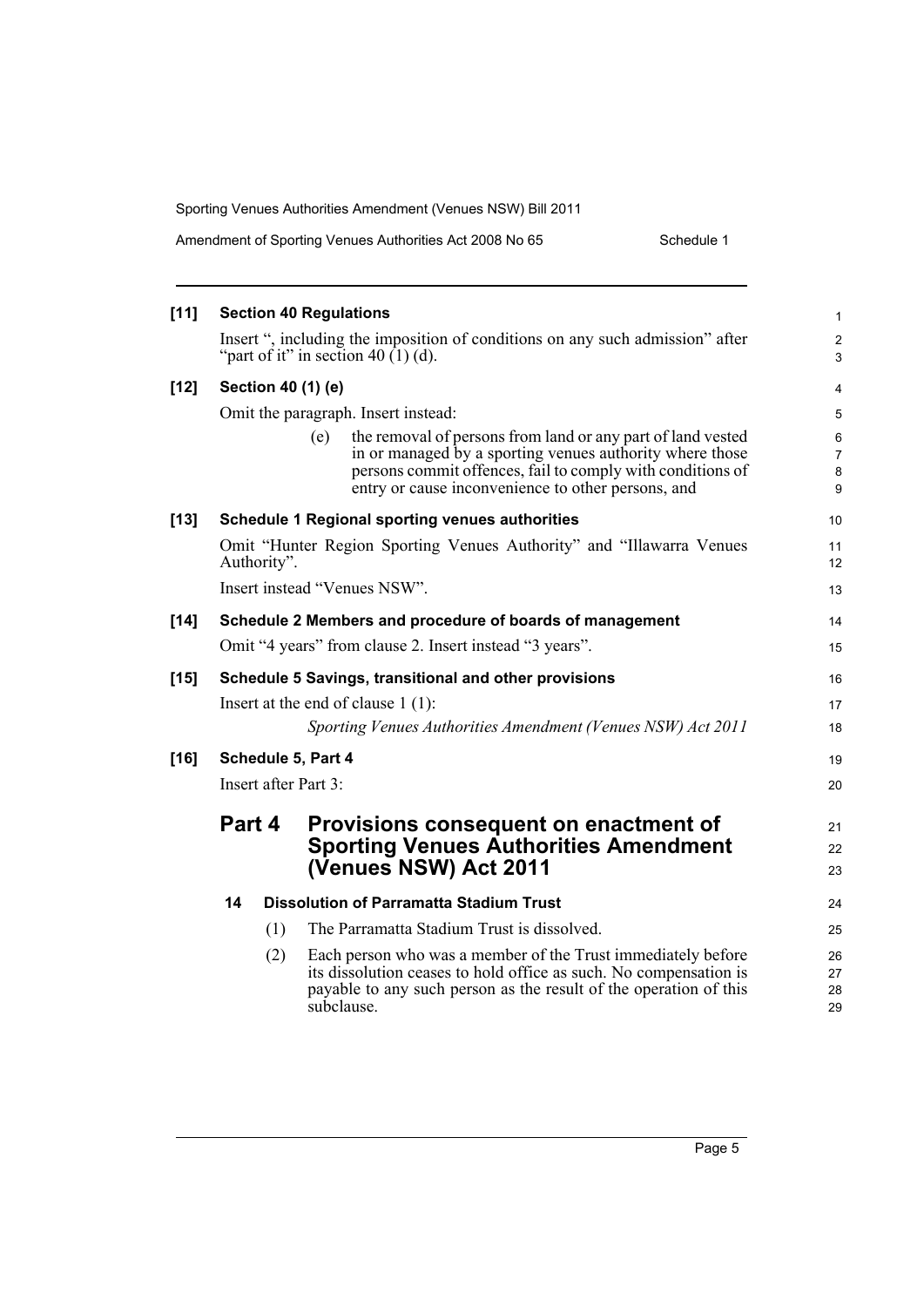| Amendment of Sporting Venues Authorities Act 2008 No 65 | Schedule 1 |
|---------------------------------------------------------|------------|
|---------------------------------------------------------|------------|

| $[11]$ |                                                                                      |                                              | <b>Section 40 Regulations</b>                                                                                                                                                                                                                      | 1                                   |  |
|--------|--------------------------------------------------------------------------------------|----------------------------------------------|----------------------------------------------------------------------------------------------------------------------------------------------------------------------------------------------------------------------------------------------------|-------------------------------------|--|
|        |                                                                                      |                                              | Insert ", including the imposition of conditions on any such admission" after<br>"part of it" in section 40 $(1)$ (d).                                                                                                                             | $\overline{c}$<br>3                 |  |
| $[12]$ |                                                                                      |                                              | Section 40 (1) (e)                                                                                                                                                                                                                                 | 4                                   |  |
|        |                                                                                      |                                              | Omit the paragraph. Insert instead:                                                                                                                                                                                                                | 5                                   |  |
|        |                                                                                      |                                              | the removal of persons from land or any part of land vested<br>(e)<br>in or managed by a sporting venues authority where those<br>persons commit offences, fail to comply with conditions of<br>entry or cause inconvenience to other persons, and | 6<br>$\overline{7}$<br>$\bf 8$<br>9 |  |
| $[13]$ |                                                                                      |                                              | <b>Schedule 1 Regional sporting venues authorities</b>                                                                                                                                                                                             | 10                                  |  |
|        | Omit "Hunter Region Sporting Venues Authority" and "Illawarra Venues"<br>Authority". |                                              |                                                                                                                                                                                                                                                    |                                     |  |
|        |                                                                                      |                                              | Insert instead "Venues NSW".                                                                                                                                                                                                                       | 13                                  |  |
| $[14]$ |                                                                                      |                                              | Schedule 2 Members and procedure of boards of management                                                                                                                                                                                           | 14                                  |  |
|        |                                                                                      |                                              | Omit "4 years" from clause 2. Insert instead "3 years".                                                                                                                                                                                            | 15                                  |  |
| $[15]$ |                                                                                      |                                              | Schedule 5 Savings, transitional and other provisions                                                                                                                                                                                              | 16                                  |  |
|        |                                                                                      |                                              | Insert at the end of clause $1(1)$ :                                                                                                                                                                                                               | 17                                  |  |
|        |                                                                                      |                                              | Sporting Venues Authorities Amendment (Venues NSW) Act 2011                                                                                                                                                                                        | 18                                  |  |
| $[16]$ | Schedule 5, Part 4                                                                   |                                              |                                                                                                                                                                                                                                                    |                                     |  |
|        | Insert after Part 3:                                                                 |                                              |                                                                                                                                                                                                                                                    |                                     |  |
|        | Part 4                                                                               |                                              | Provisions consequent on enactment of                                                                                                                                                                                                              | 21                                  |  |
|        |                                                                                      | <b>Sporting Venues Authorities Amendment</b> |                                                                                                                                                                                                                                                    | 22                                  |  |
|        |                                                                                      |                                              | (Venues NSW) Act 2011                                                                                                                                                                                                                              | 23                                  |  |
|        | 14                                                                                   |                                              | <b>Dissolution of Parramatta Stadium Trust</b>                                                                                                                                                                                                     | 24                                  |  |
|        |                                                                                      | (1)                                          | The Parramatta Stadium Trust is dissolved.                                                                                                                                                                                                         | 25                                  |  |
|        |                                                                                      | (2)                                          | Each person who was a member of the Trust immediately before<br>its dissolution ceases to hold office as such. No compensation is<br>payable to any such person as the result of the operation of this<br>subclause.                               | 26<br>27<br>28<br>29                |  |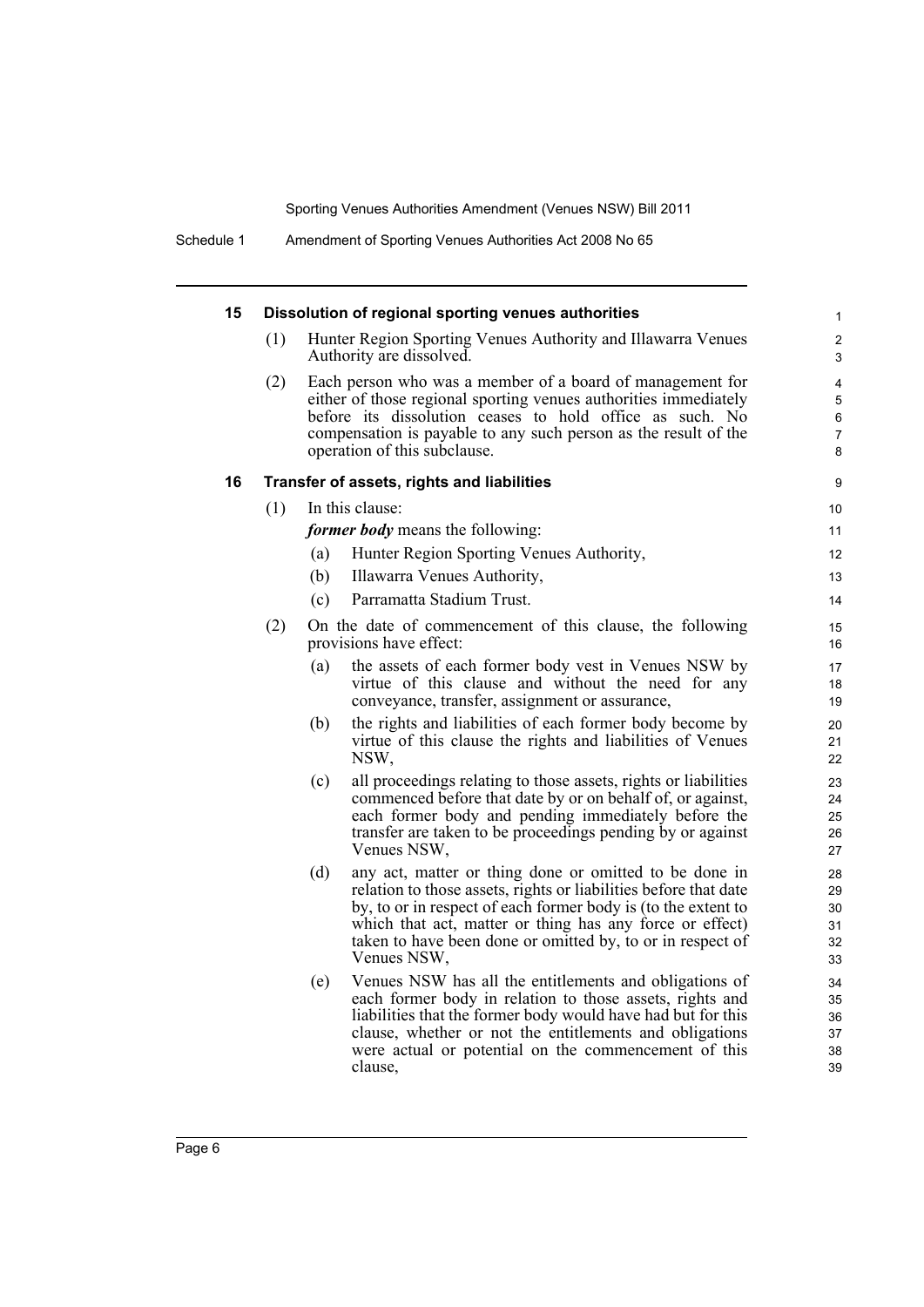| 15 |                                            |     | Dissolution of regional sporting venues authorities                                                                                                                                                                                                                                                                                  | $\mathbf{1}$                     |  |  |  |
|----|--------------------------------------------|-----|--------------------------------------------------------------------------------------------------------------------------------------------------------------------------------------------------------------------------------------------------------------------------------------------------------------------------------------|----------------------------------|--|--|--|
|    | (1)                                        |     | Hunter Region Sporting Venues Authority and Illawarra Venues<br>Authority are dissolved.                                                                                                                                                                                                                                             | 2<br>3                           |  |  |  |
|    | (2)                                        |     | Each person who was a member of a board of management for<br>either of those regional sporting venues authorities immediately<br>before its dissolution ceases to hold office as such. No<br>compensation is payable to any such person as the result of the<br>operation of this subclause.                                         | 4<br>5<br>6<br>7<br>8            |  |  |  |
| 16 | Transfer of assets, rights and liabilities |     |                                                                                                                                                                                                                                                                                                                                      |                                  |  |  |  |
|    | (1)                                        |     | In this clause:                                                                                                                                                                                                                                                                                                                      | 10                               |  |  |  |
|    |                                            |     | <i>former body</i> means the following:                                                                                                                                                                                                                                                                                              | 11                               |  |  |  |
|    |                                            | (a) | Hunter Region Sporting Venues Authority,                                                                                                                                                                                                                                                                                             | 12                               |  |  |  |
|    |                                            | (b) | Illawarra Venues Authority,                                                                                                                                                                                                                                                                                                          | 13                               |  |  |  |
|    |                                            | (c) | Parramatta Stadium Trust.                                                                                                                                                                                                                                                                                                            | 14                               |  |  |  |
|    | (2)                                        |     | On the date of commencement of this clause, the following<br>provisions have effect:                                                                                                                                                                                                                                                 | 15<br>16                         |  |  |  |
|    |                                            | (a) | the assets of each former body vest in Venues NSW by<br>virtue of this clause and without the need for any<br>conveyance, transfer, assignment or assurance,                                                                                                                                                                         | 17<br>18<br>19                   |  |  |  |
|    |                                            | (b) | the rights and liabilities of each former body become by<br>virtue of this clause the rights and liabilities of Venues<br>NSW,                                                                                                                                                                                                       | 20<br>21<br>22                   |  |  |  |
|    |                                            | (c) | all proceedings relating to those assets, rights or liabilities<br>commenced before that date by or on behalf of, or against,<br>each former body and pending immediately before the<br>transfer are taken to be proceedings pending by or against<br>Venues NSW,                                                                    | 23<br>24<br>25<br>26<br>27       |  |  |  |
|    |                                            | (d) | any act, matter or thing done or omitted to be done in<br>relation to those assets, rights or liabilities before that date<br>by, to or in respect of each former body is (to the extent to<br>which that act, matter or thing has any force or effect)<br>taken to have been done or omitted by, to or in respect of<br>Venues NSW. | 28<br>29<br>30<br>31<br>32<br>33 |  |  |  |
|    |                                            | (e) | Venues NSW has all the entitlements and obligations of<br>each former body in relation to those assets, rights and<br>liabilities that the former body would have had but for this<br>clause, whether or not the entitlements and obligations<br>were actual or potential on the commencement of this<br>clause,                     | 34<br>35<br>36<br>37<br>38<br>39 |  |  |  |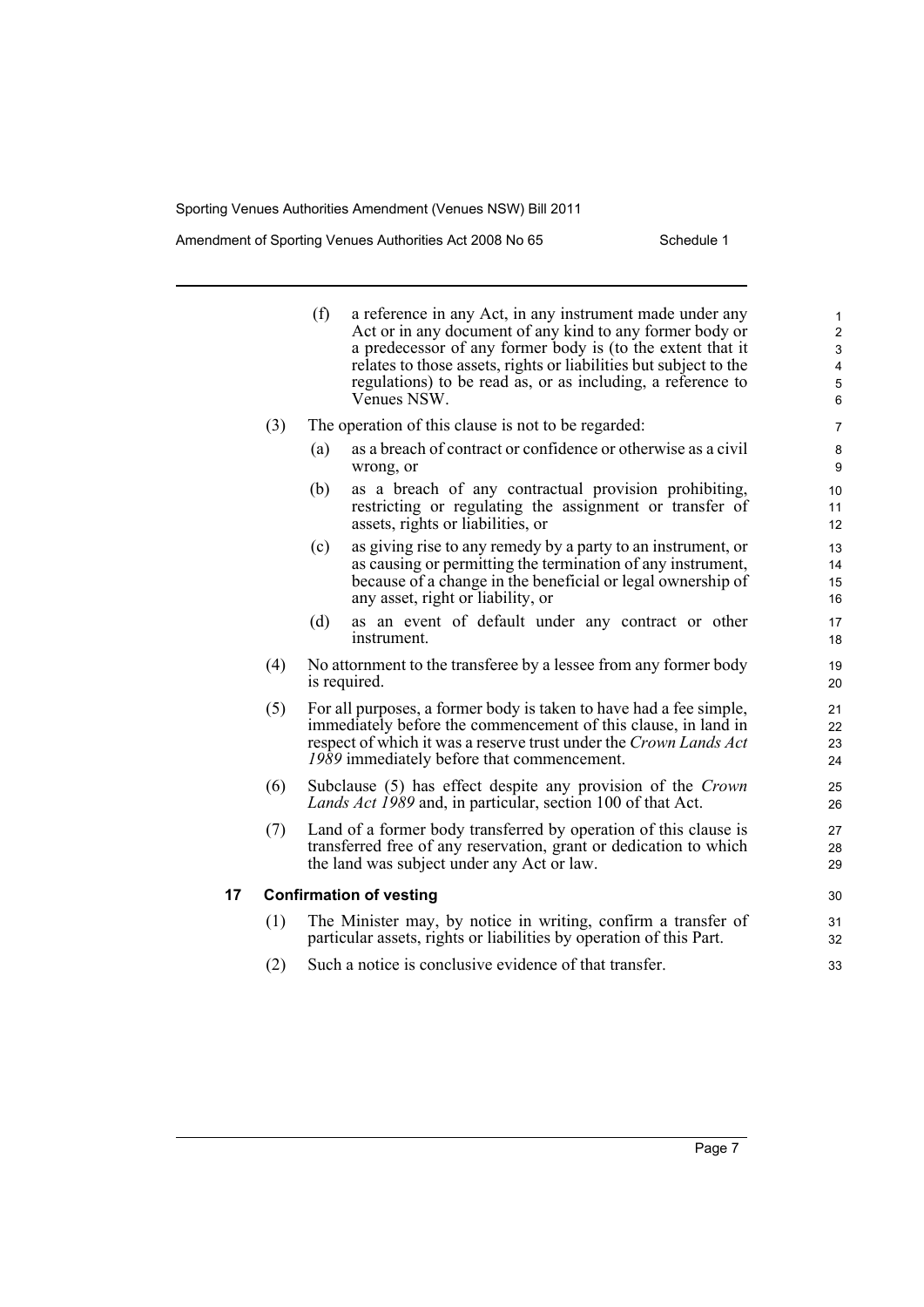#### Amendment of Sporting Venues Authorities Act 2008 No 65 Schedule 1

|    |     | (f) | a reference in any Act, in any instrument made under any<br>Act or in any document of any kind to any former body or<br>a predecessor of any former body is (to the extent that it<br>relates to those assets, rights or liabilities but subject to the<br>regulations) to be read as, or as including, a reference to<br>Venues NSW. | $\mathbf{1}$<br>$\overline{2}$<br>$\mathsf 3$<br>$\overline{4}$<br>5<br>6 |
|----|-----|-----|---------------------------------------------------------------------------------------------------------------------------------------------------------------------------------------------------------------------------------------------------------------------------------------------------------------------------------------|---------------------------------------------------------------------------|
|    | (3) |     | The operation of this clause is not to be regarded:                                                                                                                                                                                                                                                                                   | $\overline{7}$                                                            |
|    |     | (a) | as a breach of contract or confidence or otherwise as a civil<br>wrong, or                                                                                                                                                                                                                                                            | 8<br>9                                                                    |
|    |     | (b) | as a breach of any contractual provision prohibiting,<br>restricting or regulating the assignment or transfer of<br>assets, rights or liabilities, or                                                                                                                                                                                 | 10<br>11<br>12                                                            |
|    |     | (c) | as giving rise to any remedy by a party to an instrument, or<br>as causing or permitting the termination of any instrument,<br>because of a change in the beneficial or legal ownership of<br>any asset, right or liability, or                                                                                                       | 13<br>14<br>15<br>16                                                      |
|    |     | (d) | as an event of default under any contract or other<br>instrument.                                                                                                                                                                                                                                                                     | 17<br>18                                                                  |
|    | (4) |     | No attornment to the transferee by a lessee from any former body<br>is required.                                                                                                                                                                                                                                                      | 19<br>20                                                                  |
|    | (5) |     | For all purposes, a former body is taken to have had a fee simple,<br>immediately before the commencement of this clause, in land in<br>respect of which it was a reserve trust under the Crown Lands Act<br>1989 immediately before that commencement.                                                                               | 21<br>22<br>23<br>24                                                      |
|    | (6) |     | Subclause (5) has effect despite any provision of the Crown<br>Lands Act 1989 and, in particular, section 100 of that Act.                                                                                                                                                                                                            | 25<br>26                                                                  |
|    | (7) |     | Land of a former body transferred by operation of this clause is<br>transferred free of any reservation, grant or dedication to which<br>the land was subject under any Act or law.                                                                                                                                                   | 27<br>28<br>29                                                            |
| 17 |     |     | <b>Confirmation of vesting</b>                                                                                                                                                                                                                                                                                                        | 30                                                                        |
|    | (1) |     | The Minister may, by notice in writing, confirm a transfer of<br>particular assets, rights or liabilities by operation of this Part.                                                                                                                                                                                                  | 31<br>32                                                                  |
|    | (2) |     | Such a notice is conclusive evidence of that transfer.                                                                                                                                                                                                                                                                                | 33                                                                        |